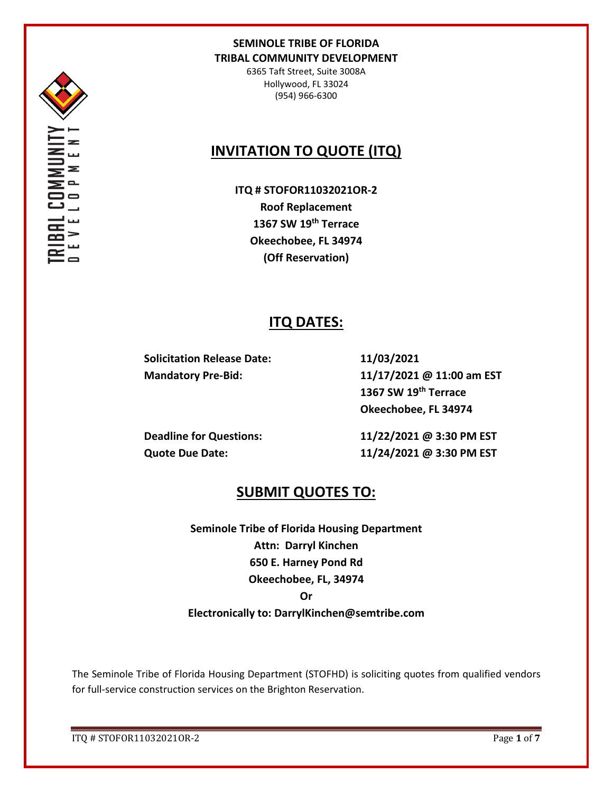

6365 Taft Street, Suite 3008A Hollywood, FL 33024 (954) 966-6300

# **INVITATION TO QUOTE (ITQ)**

**ITQ # STOFOR11032021OR-2 Roof Replacement 1367 SW 19th Terrace Okeechobee, FL 34974 (Off Reservation)**

# **ITQ DATES:**

**Solicitation Release Date: 11/03/2021**

**Mandatory Pre-Bid: 11/17/2021 @ 11:00 am EST 1367 SW 19th Terrace Okeechobee, FL 34974**

**Deadline for Questions: 11/22/2021 @ 3:30 PM EST Quote Due Date: 11/24/2021 @ 3:30 PM EST**

# **SUBMIT QUOTES TO:**

**Seminole Tribe of Florida Housing Department Attn: Darryl Kinchen 650 E. Harney Pond Rd Okeechobee, FL, 34974 Or Electronically to: DarrylKinchen@semtribe.com**

The Seminole Tribe of Florida Housing Department (STOFHD) is soliciting quotes from qualified vendors for full-service construction services on the Brighton Reservation.

ITQ # STOFOR11032021OR-2 Page **1** of **7**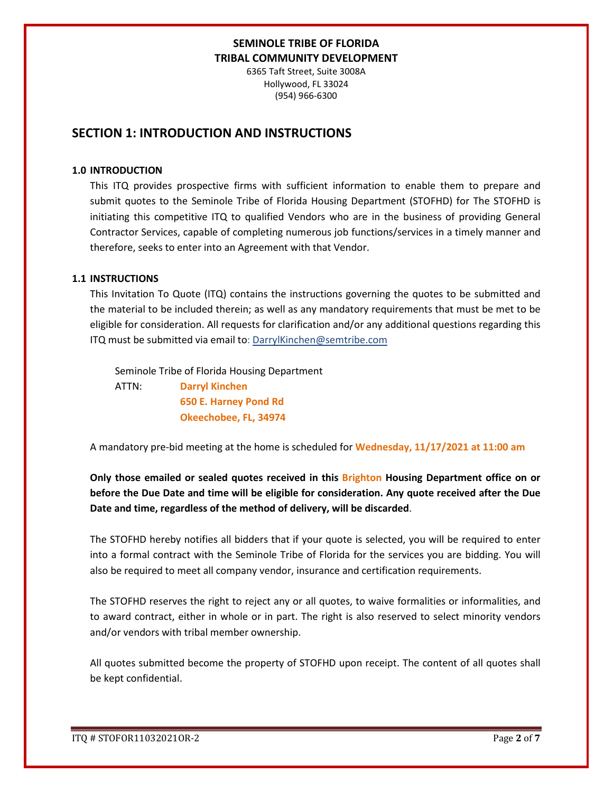6365 Taft Street, Suite 3008A Hollywood, FL 33024 (954) 966-6300

# **SECTION 1: INTRODUCTION AND INSTRUCTIONS**

#### **1.0 INTRODUCTION**

This ITQ provides prospective firms with sufficient information to enable them to prepare and submit quotes to the Seminole Tribe of Florida Housing Department (STOFHD) for The STOFHD is initiating this competitive ITQ to qualified Vendors who are in the business of providing General Contractor Services, capable of completing numerous job functions/services in a timely manner and therefore, seeks to enter into an Agreement with that Vendor.

#### **1.1 INSTRUCTIONS**

This Invitation To Quote (ITQ) contains the instructions governing the quotes to be submitted and the material to be included therein; as well as any mandatory requirements that must be met to be eligible for consideration. All requests for clarification and/or any additional questions regarding this ITQ must be submitted via email to: DarrylKinchen@semtribe.com

 Seminole Tribe of Florida Housing Department ATTN: **Darryl Kinchen**

 **650 E. Harney Pond Rd Okeechobee, FL, 34974**

A mandatory pre-bid meeting at the home is scheduled for **Wednesday, 11/17/2021 at 11:00 am**

**Only those emailed or sealed quotes received in this Brighton Housing Department office on or before the Due Date and time will be eligible for consideration. Any quote received after the Due Date and time, regardless of the method of delivery, will be discarded**.

The STOFHD hereby notifies all bidders that if your quote is selected, you will be required to enter into a formal contract with the Seminole Tribe of Florida for the services you are bidding. You will also be required to meet all company vendor, insurance and certification requirements.

The STOFHD reserves the right to reject any or all quotes, to waive formalities or informalities, and to award contract, either in whole or in part. The right is also reserved to select minority vendors and/or vendors with tribal member ownership.

All quotes submitted become the property of STOFHD upon receipt. The content of all quotes shall be kept confidential.

ITQ # STOFOR11032021OR-2 Page **2** of **7**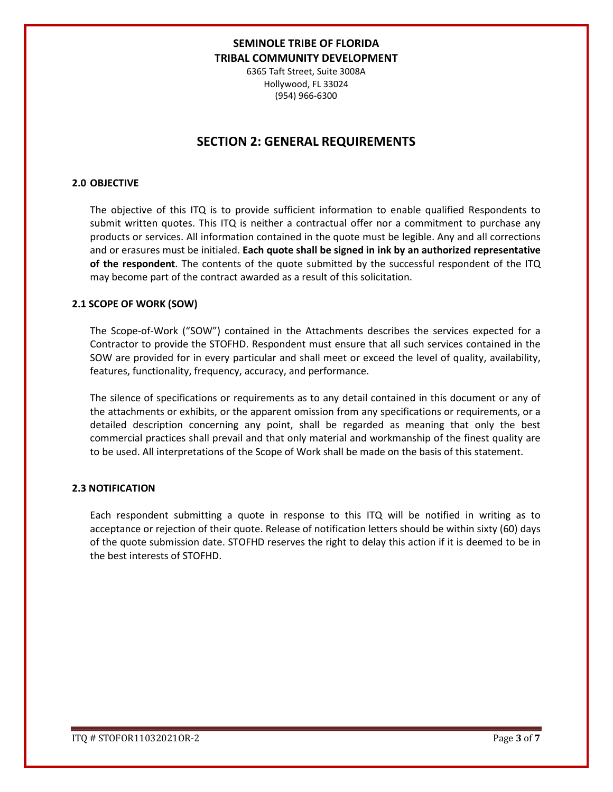6365 Taft Street, Suite 3008A Hollywood, FL 33024 (954) 966-6300

# **SECTION 2: GENERAL REQUIREMENTS**

### **2.0 OBJECTIVE**

The objective of this ITQ is to provide sufficient information to enable qualified Respondents to submit written quotes. This ITQ is neither a contractual offer nor a commitment to purchase any products or services. All information contained in the quote must be legible. Any and all corrections and or erasures must be initialed. **Each quote shall be signed in ink by an authorized representative of the respondent**. The contents of the quote submitted by the successful respondent of the ITQ may become part of the contract awarded as a result of this solicitation.

#### **2.1 SCOPE OF WORK (SOW)**

The Scope-of-Work ("SOW") contained in the Attachments describes the services expected for a Contractor to provide the STOFHD. Respondent must ensure that all such services contained in the SOW are provided for in every particular and shall meet or exceed the level of quality, availability, features, functionality, frequency, accuracy, and performance.

The silence of specifications or requirements as to any detail contained in this document or any of the attachments or exhibits, or the apparent omission from any specifications or requirements, or a detailed description concerning any point, shall be regarded as meaning that only the best commercial practices shall prevail and that only material and workmanship of the finest quality are to be used. All interpretations of the Scope of Work shall be made on the basis of this statement.

#### **2.3 NOTIFICATION**

Each respondent submitting a quote in response to this ITQ will be notified in writing as to acceptance or rejection of their quote. Release of notification letters should be within sixty (60) days of the quote submission date. STOFHD reserves the right to delay this action if it is deemed to be in the best interests of STOFHD.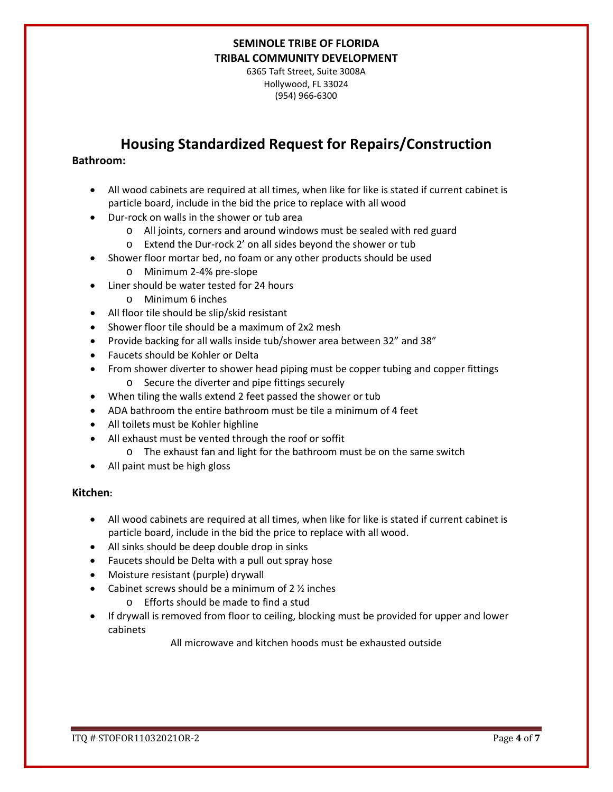6365 Taft Street, Suite 3008A Hollywood, FL 33024 (954) 966-6300

# **Housing Standardized Request for Repairs/Construction**

## **Bathroom:**

- All wood cabinets are required at all times, when like for like is stated if current cabinet is particle board, include in the bid the price to replace with all wood
- Dur-rock on walls in the shower or tub area
	- o All joints, corners and around windows must be sealed with red guard
	- o Extend the Dur-rock 2' on all sides beyond the shower or tub
- Shower floor mortar bed, no foam or any other products should be used
	- o Minimum 2-4% pre-slope
- Liner should be water tested for 24 hours
	- o Minimum 6 inches
- All floor tile should be slip/skid resistant
- Shower floor tile should be a maximum of 2x2 mesh
- Provide backing for all walls inside tub/shower area between 32" and 38"
- Faucets should be Kohler or Delta
- From shower diverter to shower head piping must be copper tubing and copper fittings o Secure the diverter and pipe fittings securely
- When tiling the walls extend 2 feet passed the shower or tub
- ADA bathroom the entire bathroom must be tile a minimum of 4 feet
- All toilets must be Kohler highline
- All exhaust must be vented through the roof or soffit
	- o The exhaust fan and light for the bathroom must be on the same switch
- All paint must be high gloss

#### **Kitchen:**

- All wood cabinets are required at all times, when like for like is stated if current cabinet is particle board, include in the bid the price to replace with all wood.
- All sinks should be deep double drop in sinks
- Faucets should be Delta with a pull out spray hose
- Moisture resistant (purple) drywall
- Cabinet screws should be a minimum of  $2 \frac{1}{2}$  inches
	- o Efforts should be made to find a stud
- If drywall is removed from floor to ceiling, blocking must be provided for upper and lower cabinets

All microwave and kitchen hoods must be exhausted outside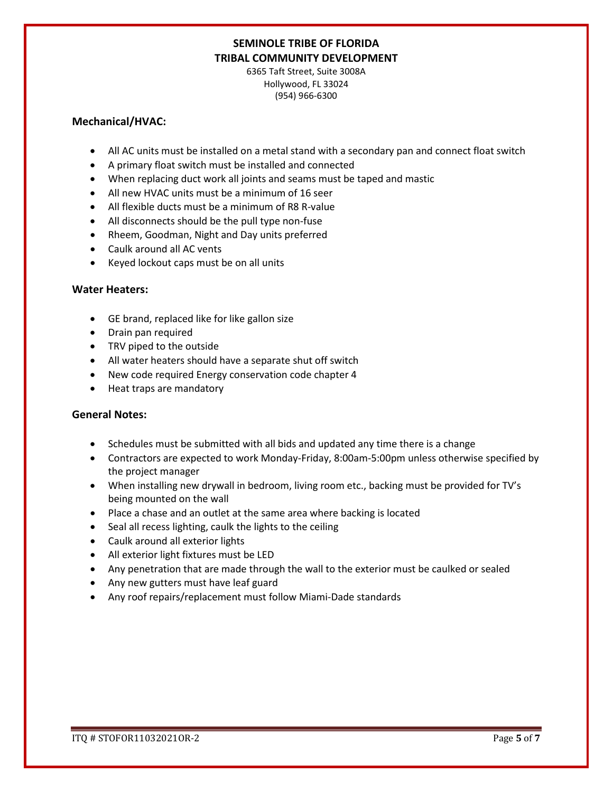6365 Taft Street, Suite 3008A Hollywood, FL 33024 (954) 966-6300

### **Mechanical/HVAC:**

- All AC units must be installed on a metal stand with a secondary pan and connect float switch
- A primary float switch must be installed and connected
- When replacing duct work all joints and seams must be taped and mastic
- All new HVAC units must be a minimum of 16 seer
- All flexible ducts must be a minimum of R8 R-value
- All disconnects should be the pull type non-fuse
- Rheem, Goodman, Night and Day units preferred
- Caulk around all AC vents
- Keyed lockout caps must be on all units

## **Water Heaters:**

- GE brand, replaced like for like gallon size
- Drain pan required
- TRV piped to the outside
- All water heaters should have a separate shut off switch
- New code required Energy conservation code chapter 4
- Heat traps are mandatory

## **General Notes:**

- Schedules must be submitted with all bids and updated any time there is a change
- Contractors are expected to work Monday-Friday, 8:00am-5:00pm unless otherwise specified by the project manager
- When installing new drywall in bedroom, living room etc., backing must be provided for TV's being mounted on the wall
- Place a chase and an outlet at the same area where backing is located
- Seal all recess lighting, caulk the lights to the ceiling
- Caulk around all exterior lights
- All exterior light fixtures must be LED
- Any penetration that are made through the wall to the exterior must be caulked or sealed
- Any new gutters must have leaf guard
- Any roof repairs/replacement must follow Miami-Dade standards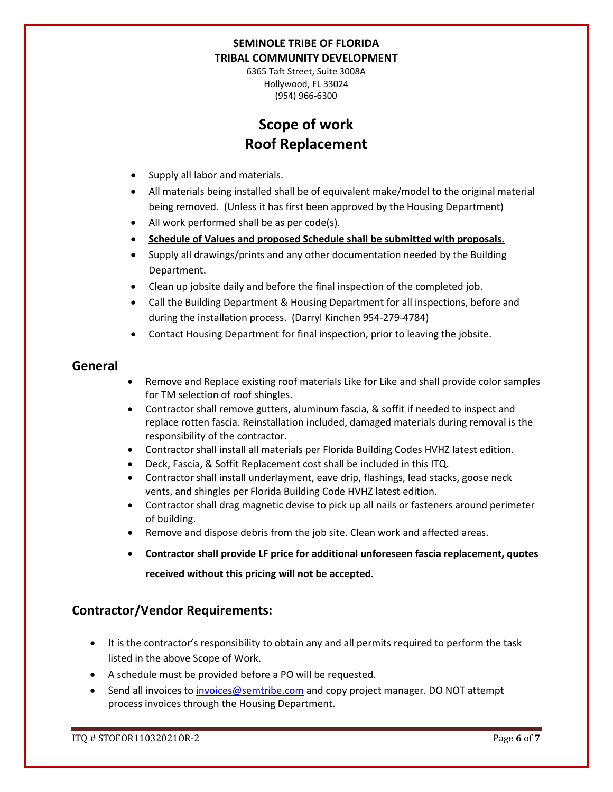6365 Taft Street, Suite 3008A Hollywood, FL 33024 (954) 966-6300

# **Scope of work Roof Replacement**

- Supply all labor and materials.
- All materials being installed shall be of equivalent make/model to the original material being removed. (Unless it has first been approved by the Housing Department)
- All work performed shall be as per code(s).
- **Schedule of Values and proposed Schedule shall be submitted with proposals.**
- Supply all drawings/prints and any other documentation needed by the Building Department.
- Clean up jobsite daily and before the final inspection of the completed job.
- Call the Building Department & Housing Department for all inspections, before and during the installation process. (Darryl Kinchen 954-279-4784)
- Contact Housing Department for final inspection, prior to leaving the jobsite.

## **General**

- Remove and Replace existing roof materials Like for Like and shall provide color samples for TM selection of roof shingles.
- Contractor shall remove gutters, aluminum fascia, & soffit if needed to inspect and replace rotten fascia. Reinstallation included, damaged materials during removal is the responsibility of the contractor.
- Contractor shall install all materials per Florida Building Codes HVHZ latest edition.
- Deck, Fascia, & Soffit Replacement cost shall be included in this ITQ.
- Contractor shall install underlayment, eave drip, flashings, lead stacks, goose neck vents, and shingles per Florida Building Code HVHZ latest edition.
- Contractor shall drag magnetic devise to pick up all nails or fasteners around perimeter of building.
- Remove and dispose debris from the job site. Clean work and affected areas.
- **Contractor shall provide LF price for additional unforeseen fascia replacement, quotes received without this pricing will not be accepted.**

## **Contractor/Vendor Requirements:**

- It is the contractor's responsibility to obtain any and all permits required to perform the task listed in the above Scope of Work.
- A schedule must be provided before a PO will be requested.
- Send all invoices to [invoices@semtribe.com](mailto:invoices@semtribe.com) and copy project manager. DO NOT attempt process invoices through the Housing Department.

ITQ # STOFOR11032021OR-2 Page **6** of **7**